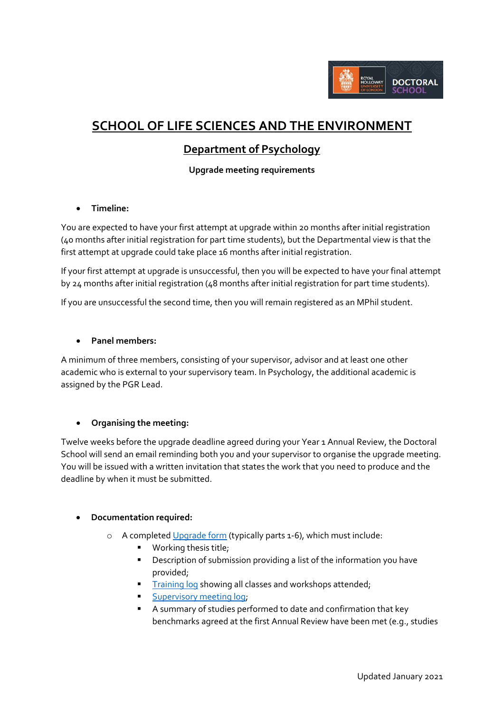

# **SCHOOL OF LIFE SCIENCES AND THE ENVIRONMENT**

# **Department of Psychology**

# **Upgrade meeting requirements**

# **Timeline:**

You are expected to have your first attempt at upgrade within 20 months after initial registration (40 months after initial registration for part time students), but the Departmental view is that the first attempt at upgrade could take place 16 months after initial registration.

If your first attempt at upgrade is unsuccessful, then you will be expected to have your final attempt by 24 months after initial registration (48 months after initial registration for part time students).

If you are unsuccessful the second time, then you will remain registered as an MPhil student.

#### **Panel members:**

A minimum of three members, consisting of your supervisor, advisor and at least one other academic who is external to your supervisory team. In Psychology, the additional academic is assigned by the PGR Lead.

# **Organising the meeting:**

Twelve weeks before the upgrade deadline agreed during your Year 1 Annual Review, the Doctoral School will send an email reminding both you and your supervisor to organise the upgrade meeting. You will be issued with a written invitation that states the work that you need to produce and the deadline by when it must be submitted.

# **Documentation required:**

- o A completed [Upgrade form](https://intranet.royalholloway.ac.uk/doctoral-school/assets/docs/doc/upgrade-form.docx) (typically parts 1-6), which must include:
	- **Working thesis title;**
	- **•** Description of submission providing a list of the information you have provided;
	- **[Training log](http://preview.rhul.ac.uk/doctoral-school/assets/docs/doc/new-research-log.docx) showing all classes and workshops attended;**
	- **[Supervisory meeting log;](http://preview.rhul.ac.uk/doctoral-school/assets/docs/doc/pgr-record-of-supervisor-contacts.docx)**
	- A summary of studies performed to date and confirmation that key benchmarks agreed at the first Annual Review have been met (e.g., studies